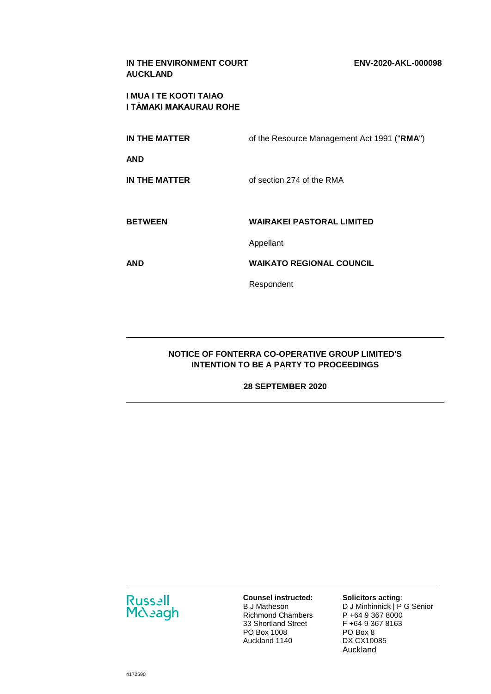| IN THE ENVIRONMENT COURT<br><b>AUCKLAND</b>      | ENV-2020-AKL-000098                         |
|--------------------------------------------------|---------------------------------------------|
| I MUA I TE KOOTI TAIAO<br>I TĀMAKI MAKAURAU ROHE |                                             |
| <b>IN THE MATTER</b>                             | of the Resource Management Act 1991 ("RMA") |
| AND                                              |                                             |
| <b>IN THE MATTER</b>                             | of section 274 of the RMA                   |
|                                                  |                                             |
| <b>BETWEEN</b>                                   | <b>WAIRAKEI PASTORAL LIMITED</b>            |
|                                                  | Appellant                                   |
| AND                                              | <b>WAIKATO REGIONAL COUNCIL</b>             |
|                                                  | Respondent                                  |
|                                                  |                                             |

# **NOTICE OF FONTERRA CO-OPERATIVE GROUP LIMITED'S INTENTION TO BE A PARTY TO PROCEEDINGS**

### **28 SEPTEMBER 2020**



**Counsel instructed:**  B J Matheson Richmond Chambers 33 Shortland Street PO Box 1008 Auckland 1140

## **Solicitors acting**:

D J Minhinnick | P G Senior P +64 9 367 8000 F +64 9 367 8163 PO Box 8 DX CX10085 Auckland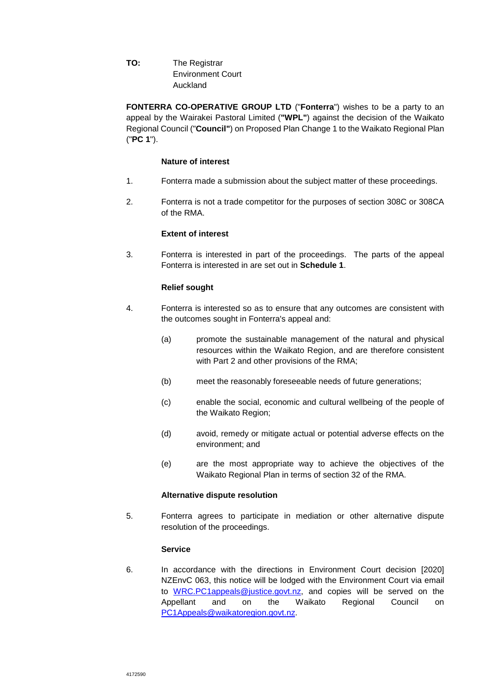**TO:** The Registrar Environment Court Auckland

**FONTERRA CO-OPERATIVE GROUP LTD** ("**Fonterra**") wishes to be a party to an appeal by the Wairakei Pastoral Limited (**"WPL"**) against the decision of the Waikato Regional Council ("**Council"**) on Proposed Plan Change 1 to the Waikato Regional Plan ("**PC 1**").

### **Nature of interest**

- 1. Fonterra made a submission about the subject matter of these proceedings.
- 2. Fonterra is not a trade competitor for the purposes of section 308C or 308CA of the RMA.

### **Extent of interest**

3. Fonterra is interested in part of the proceedings. The parts of the appeal Fonterra is interested in are set out in **Schedule 1**.

## **Relief sought**

- 4. Fonterra is interested so as to ensure that any outcomes are consistent with the outcomes sought in Fonterra's appeal and:
	- (a) promote the sustainable management of the natural and physical resources within the Waikato Region, and are therefore consistent with Part 2 and other provisions of the RMA;
	- (b) meet the reasonably foreseeable needs of future generations;
	- (c) enable the social, economic and cultural wellbeing of the people of the Waikato Region;
	- (d) avoid, remedy or mitigate actual or potential adverse effects on the environment; and
	- (e) are the most appropriate way to achieve the objectives of the Waikato Regional Plan in terms of section 32 of the RMA.

### **Alternative dispute resolution**

5. Fonterra agrees to participate in mediation or other alternative dispute resolution of the proceedings.

### **Service**

6. In accordance with the directions in Environment Court decision [2020] NZEnvC 063, this notice will be lodged with the Environment Court via email to [WRC.PC1appeals@justice.govt.nz,](mailto:WRC.PC1appeals@justice.govt.nz) and copies will be served on the Appellant and on the Waikato Regional Council on [PC1Appeals@waikatoregion.govt.nz.](mailto:PC1Appeals@waikatoregion.govt.nz)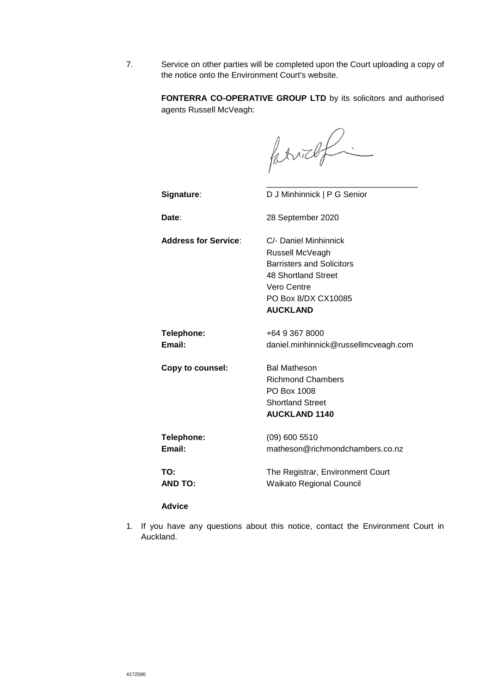7. Service on other parties will be completed upon the Court uploading a copy of the notice onto the Environment Court's website.

> **FONTERRA CO-OPERATIVE GROUP LTD** by its solicitors and authorised agents Russell McVeagh:

farrief -

\_\_\_\_\_\_\_\_\_\_\_\_\_\_\_\_\_\_\_\_\_\_\_\_\_\_\_\_\_\_\_\_\_

**Signature**: D J Minhinnick | P G Senior

**Date**: 28 September 2020

**Address for Service**: C/- Daniel Minhinnick Russell McVeagh Barristers and Solicitors 48 Shortland Street Vero Centre PO Box 8/DX CX10085 **AUCKLAND** 

**Telephone:** +64 9 367 8000 **Email:** daniel.minhinnick@russellmcveagh.com

**Copy to counsel:** Bal Matheson

Richmond Chambers PO Box 1008 Shortland Street **AUCKLAND 1140** 

**Telephone:** (09) 600 5510 **Email:** matheson@richmondchambers.co.nz

**TO:** The Registrar, Environment Court **AND TO:** Waikato Regional Council

#### **Advice**

1. If you have any questions about this notice, contact the Environment Court in Auckland.